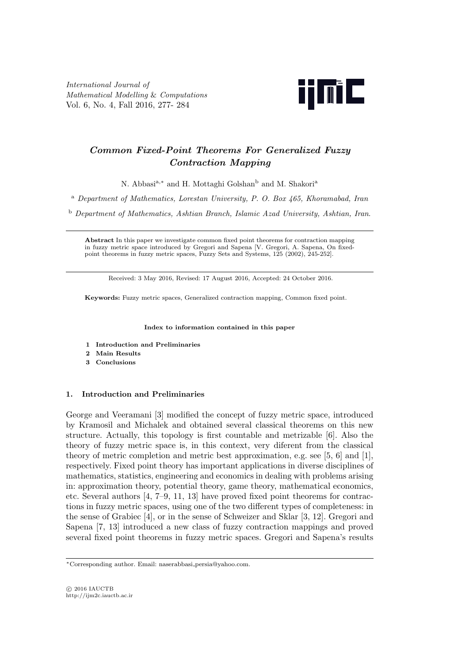*International Journal of Mathematical Modelling* & *Computations* Vol. 6, No. 4, Fall 2016, 277- 284



# *Common Fixed-Point Theorems For Generalized Fuzzy Contraction Mapping*

N. Abbasi<sup>a,∗</sup> and H. Mottaghi Golshan<sup>b</sup> and M. Shakori<sup>a</sup>

<sup>a</sup> *Department of Mathematics, Lorestan University, P. O. Box 465, Khoramabad, Iran*

<sup>b</sup> *Department of Mathematics, Ashtian Branch, Islamic Azad University, Ashtian, Iran*.

**Abstract** In this paper we investigate common fixed point theorems for contraction mapping in fuzzy metric space introduced by Gregori and Sapena [V. Gregori, A. Sapena, On fixedpoint theorems in fuzzy metric spaces, Fuzzy Sets and Systems, 125 (2002), 245-252].

Received: 3 May 2016, Revised: 17 August 2016, Accepted: 24 October 2016.

**Keywords:** Fuzzy metric spaces, Generalized contraction mapping, Common fixed point.

#### **Index to information contained in this paper**

- **1 Introduction and Preliminaries**
- **2 Main Results**
- **3 Conclusions**

## **1. Introduction and Preliminaries**

George and Veeramani [3] modified the concept of fuzzy metric space, introduced by Kramosil and Michalek and obtained several classical theorems on this new structure. Actually, this topology is first countable and metrizable [6]. Also the theory of fuzzy metric space is, in this context, very diferent from the classical theory of metric completion and metric best approximation, e.g. see [5, 6] and [1], respectively. Fixed point theory has important applications in diverse disciplines of mathematics, statistics, engineering and economics in dealing with problems arising in: approximation theory, potential theory, game theory, mathematical economics, etc. Several authors [4, 7–9, 11, 13] have proved fixed point theorems for contractions in fuzzy metric spaces, using one of the two different types of completeness: in the sense of Grabiec [4], or in the sense of Schweizer and Sklar [3, 12]. Gregori and Sapena [7, 13] introduced a new class of fuzzy contraction mappings and proved several fixed point theorems in fuzzy metric spaces. Gregori and Sapena's results

*<sup>∗</sup>*Corresponding author. Email: naserabbasi persia@yahoo.com.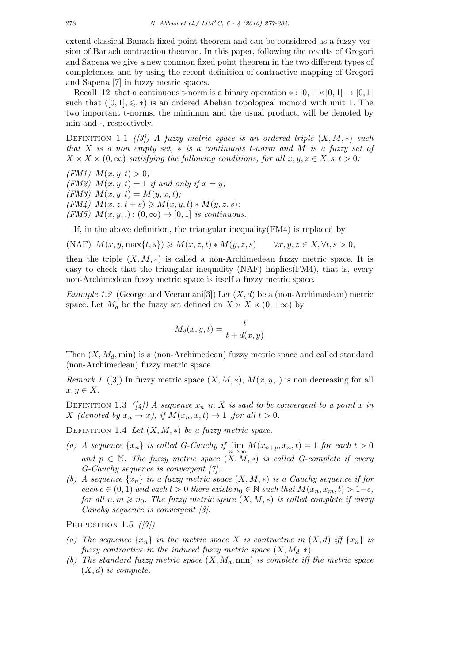extend classical Banach fixed point theorem and can be considered as a fuzzy version of Banach contraction theorem. In this paper, following the results of Gregori and Sapena we give a new common fixed point theorem in the two different types of completeness and by using the recent definition of contractive mapping of Gregori and Sapena [7] in fuzzy metric spaces.

Recall [12] that a continuous t-norm is a binary operation  $* : [0, 1] \times [0, 1] \rightarrow [0, 1]$ such that  $([0, 1], \leq, *)$  is an ordered Abelian topological monoid with unit 1. The two important t-norms, the minimum and the usual product, will be denoted by min and *·*, respectively.

DEFINITION 1.1 *([3])* A fuzzy metric space is an ordered triple  $(X, M, *)$  such *that X is a non empty set, ∗ is a continuous t-norm and M is a fuzzy set of*  $X \times X \times (0, \infty)$  *satisfying the following conditions, for all*  $x, y, z \in X, s, t > 0$ :

*(FM1)*  $M(x, y, t) > 0$ ; *(FM2)*  $M(x, y, t) = 1$  *if and only if*  $x = y$ ;  $(FM3)$   $M(x, y, t) = M(y, x, t);$  $(FM_4)$   $M(x, z, t + s) \geq M(x, y, t) * M(y, z, s);$  $(FM5)$   $M(x, y, .): (0, \infty) \rightarrow [0, 1]$  *is continuous.* 

If, in the above definition, the triangular inequality(FM4) is replaced by

 $(MAF) M(x, y, \max\{t, s\}) \geq M(x, z, t) * M(y, z, s) \quad \forall x, y, z \in X, \forall t, s > 0,$ 

then the triple  $(X, M, *)$  is called a non-Archimedean fuzzy metric space. It is easy to check that the triangular inequality (NAF) implies(FM4), that is, every non-Archimedean fuzzy metric space is itself a fuzzy metric space.

*Example 1.2* (George and Veeramani<sup>[3]</sup>) Let  $(X, d)$  be a (non-Archimedean) metric space. Let  $M_d$  be the fuzzy set defined on  $X \times X \times (0, +\infty)$  by

$$
M_d(x, y, t) = \frac{t}{t + d(x, y)}
$$

Then (*X, Md,* min) is a (non-Archimedean) fuzzy metric space and called standard (non-Archimedean) fuzzy metric space.

*Remark 1* ([3]) In fuzzy metric space  $(X, M, *)$ ,  $M(x, y, .)$  is non decreasing for all  $x, y \in X$ .

DEFINITION 1.3  $(|4|)$  A sequence  $x_n$  in X is said to be convergent to a point x in *X* (denoted by  $x_n \to x$ ), if  $M(x_n, x, t) \to 1$  , for all  $t > 0$ .

DEFINITION 1.4 Let  $(X, M, *)$  be a fuzzy metric space.

- (a) *A* sequence  $\{x_n\}$  is called *G*-Cauchy if  $\lim_{n\to\infty} M(x_{n+p}, x_n, t) = 1$  for each  $t > 0$ *and*  $p ∈ ℕ$ . The fuzzy metric space  $(X, \widetilde{M}, *)$  is called G-complete if every *G-Cauchy sequence is convergent [7].*
- *(b) A sequence*  $\{x_n\}$  *in a fuzzy metric space*  $(X, M, *)$  *is a Cauchy sequence if for*  $\forall$  *each*  $\epsilon \in (0,1)$  *and each*  $t > 0$  *there exists*  $n_0 \in \mathbb{N}$  *such that*  $M(x_n, x_m, t) > 1-\epsilon$ , *for all*  $n, m \geq n_0$ *. The fuzzy metric space*  $(X, M, *)$  *is called complete if every Cauchy sequence is convergent [3].*

Proposition 1.5 *([7])*

- (a) The sequence  $\{x_n\}$  in the metric space X is contractive in  $(X,d)$  iff  $\{x_n\}$  is *fuzzy contractive in the induced fuzzy metric space*  $(X, M_d, *)$ *.*
- *(b) The standard fuzzy metric space* (*X, Md,* min) *is complete iff the metric space* (*X, d*) *is complete.*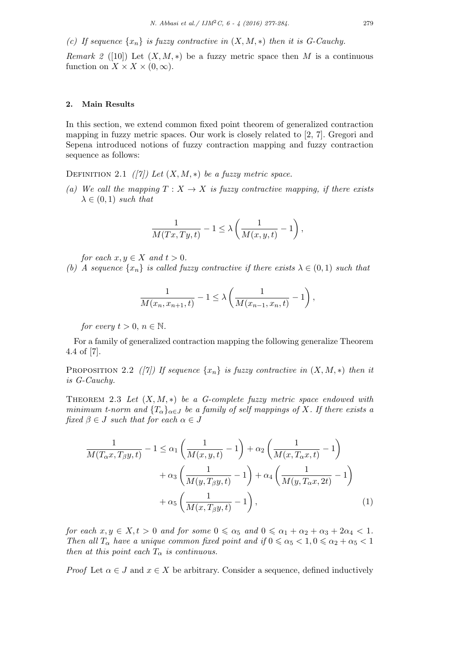*(c)* If sequence  $\{x_n\}$  is fuzzy contractive in  $(X, M, *)$  then it is G-Cauchy.

*Remark 2* ([10]) Let  $(X, M, *)$  be a fuzzy metric space then *M* is a continuous function on  $X \times X \times (0, \infty)$ .

## **2. Main Results**

In this section, we extend common fixed point theorem of generalized contraction mapping in fuzzy metric spaces. Our work is closely related to [2, 7]. Gregori and Sepena introduced notions of fuzzy contraction mapping and fuzzy contraction sequence as follows:

DEFINITION 2.1 *([7])* Let  $(X, M, *)$  be a fuzzy metric space.

*(a)* We call the mapping  $T: X \to X$  is fuzzy contractive mapping, if there exists  $\lambda \in (0,1)$  *such that* 

$$
\frac{1}{M(Tx,Ty,t)}-1\leq \lambda\left(\frac{1}{M(x,y,t)}-1\right),
$$

*for each*  $x, y \in X$  *and*  $t > 0$ *.* 

*(b) A sequence*  $\{x_n\}$  *is called fuzzy contractive if there exists*  $\lambda \in (0,1)$  *such that* 

$$
\frac{1}{M(x_n, x_{n+1}, t)} - 1 \le \lambda \left( \frac{1}{M(x_{n-1}, x_n, t)} - 1 \right),
$$

*for every*  $t > 0, n \in \mathbb{N}$ .

For a family of generalized contraction mapping the following generalize Theorem 4.4 of [7].

PROPOSITION 2.2 *([7])* If sequence  $\{x_n\}$  is fuzzy contractive in  $(X, M, *)$  then it *is G-Cauchy.*

Theorem 2.3 *Let* (*X, M, ∗*) *be a G-complete fuzzy metric space endowed with minimum t-norm and*  ${T_{\alpha}}_{\alpha \in J}$  *be a family of self mappings of X. If there exists a fixed*  $\beta \in J$  *such that for each*  $\alpha \in J$ 

$$
\frac{1}{M(T_{\alpha}x, T_{\beta}y, t)} - 1 \leq \alpha_1 \left( \frac{1}{M(x, y, t)} - 1 \right) + \alpha_2 \left( \frac{1}{M(x, T_{\alpha}x, t)} - 1 \right) \n+ \alpha_3 \left( \frac{1}{M(y, T_{\beta}y, t)} - 1 \right) + \alpha_4 \left( \frac{1}{M(y, T_{\alpha}x, 2t)} - 1 \right) \n+ \alpha_5 \left( \frac{1}{M(x, T_{\beta}y, t)} - 1 \right),
$$
\n(1)

*for each*  $x, y \in X, t > 0$  *and for some*  $0 \le \alpha_5$  *and*  $0 \le \alpha_1 + \alpha_2 + \alpha_3 + 2\alpha_4 < 1$ . *Then all*  $T_{\alpha}$  *have a unique common fixed point and if*  $0 \le \alpha_5 < 1, 0 \le \alpha_2 + \alpha_5 < 1$ *then at this point each*  $T_\alpha$  *is continuous.* 

*Proof* Let  $\alpha \in J$  and  $x \in X$  be arbitrary. Consider a sequence, defined inductively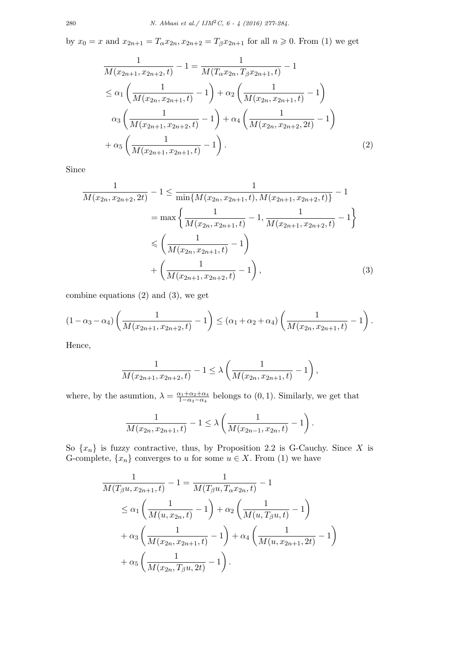by  $x_0 = x$  and  $x_{2n+1} = T_\alpha x_{2n}, x_{2n+2} = T_\beta x_{2n+1}$  for all  $n \geq 0$ . From (1) we get

$$
\frac{1}{M(x_{2n+1}, x_{2n+2}, t)} - 1 = \frac{1}{M(T_{\alpha}x_{2n}, T_{\beta}x_{2n+1}, t)} - 1
$$
\n
$$
\leq \alpha_1 \left( \frac{1}{M(x_{2n}, x_{2n+1}, t)} - 1 \right) + \alpha_2 \left( \frac{1}{M(x_{2n}, x_{2n+1}, t)} - 1 \right)
$$
\n
$$
\alpha_3 \left( \frac{1}{M(x_{2n+1}, x_{2n+2}, t)} - 1 \right) + \alpha_4 \left( \frac{1}{M(x_{2n}, x_{2n+2}, 2t)} - 1 \right)
$$
\n
$$
+ \alpha_5 \left( \frac{1}{M(x_{2n+1}, x_{2n+1}, t)} - 1 \right).
$$
\n(2)

Since

$$
\frac{1}{M(x_{2n}, x_{2n+2}, 2t)} - 1 \le \frac{1}{\min\{M(x_{2n}, x_{2n+1}, t), M(x_{2n+1}, x_{2n+2}, t)\}} - 1
$$
\n
$$
= \max\left\{\frac{1}{M(x_{2n}, x_{2n+1}, t)} - 1, \frac{1}{M(x_{2n+1}, x_{2n+2}, t)} - 1\right\}
$$
\n
$$
\le \left(\frac{1}{M(x_{2n}, x_{2n+1}, t)} - 1\right)
$$
\n
$$
+ \left(\frac{1}{M(x_{2n+1}, x_{2n+2}, t)} - 1\right),
$$
\n(3)

combine equations (2) and (3), we get

$$
(1 - \alpha_3 - \alpha_4) \left( \frac{1}{M(x_{2n+1}, x_{2n+2}, t)} - 1 \right) \leq (\alpha_1 + \alpha_2 + \alpha_4) \left( \frac{1}{M(x_{2n}, x_{2n+1}, t)} - 1 \right).
$$

Hence,

$$
\frac{1}{M(x_{2n+1}, x_{2n+2}, t)} - 1 \le \lambda \left( \frac{1}{M(x_{2n}, x_{2n+1}, t)} - 1 \right),
$$

where, by the asumtion,  $\lambda = \frac{\alpha_1 + \alpha_2 + \alpha_4}{1 - \alpha_2 - \alpha_4}$  $\frac{\alpha_1 + \alpha_2 + \alpha_4}{1 - \alpha_3 - \alpha_4}$  belongs to (0, 1). Similarly, we get that

$$
\frac{1}{M(x_{2n}, x_{2n+1}, t)} - 1 \leq \lambda \left( \frac{1}{M(x_{2n-1}, x_{2n}, t)} - 1 \right).
$$

So  $\{x_n\}$  is fuzzy contractive, thus, by Proposition 2.2 is G-Cauchy. Since *X* is G-complete,  $\{x_n\}$  converges to *u* for some  $u \in X$ . From (1) we have

$$
\frac{1}{M(T_{\beta}u, x_{2n+1}, t)} - 1 = \frac{1}{M(T_{\beta}u, T_{\alpha}x_{2n}, t)} - 1
$$
\n
$$
\leq \alpha_1 \left( \frac{1}{M(u, x_{2n}, t)} - 1 \right) + \alpha_2 \left( \frac{1}{M(u, T_{\beta}u, t)} - 1 \right)
$$
\n
$$
+ \alpha_3 \left( \frac{1}{M(x_{2n}, x_{2n+1}, t)} - 1 \right) + \alpha_4 \left( \frac{1}{M(u, x_{2n+1}, 2t)} - 1 \right)
$$
\n
$$
+ \alpha_5 \left( \frac{1}{M(x_{2n}, T_{\beta}u, 2t)} - 1 \right).
$$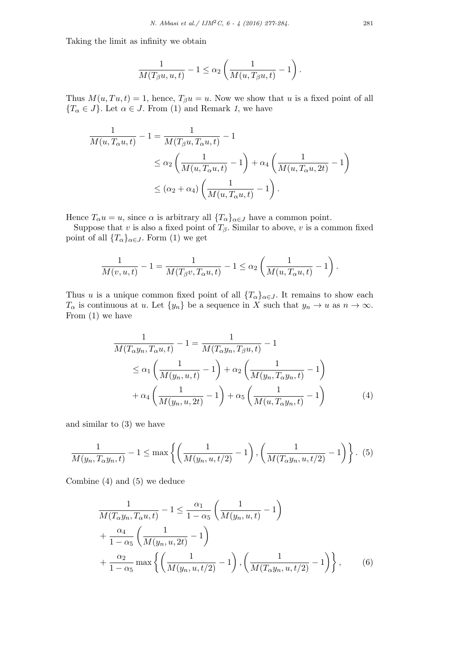Taking the limit as infinity we obtain

$$
\frac{1}{M(T_\beta u, u, t)} - 1 \leq \alpha_2 \left( \frac{1}{M(u, T_\beta u, t)} - 1 \right).
$$

Thus  $M(u, Tu, t) = 1$ , hence,  $T_\beta u = u$ . Now we show that *u* is a fixed point of all  ${T<sub>\alpha</sub> \in J}$ . Let  $\alpha \in J$ . From (1) and Remark *1*, we have

$$
\frac{1}{M(u,T_{\alpha}u,t)} - 1 = \frac{1}{M(T_{\beta}u,T_{\alpha}u,t)} - 1
$$
\n
$$
\leq \alpha_2 \left(\frac{1}{M(u,T_{\alpha}u,t)} - 1\right) + \alpha_4 \left(\frac{1}{M(u,T_{\alpha}u,2t)} - 1\right)
$$
\n
$$
\leq (\alpha_2 + \alpha_4) \left(\frac{1}{M(u,T_{\alpha}u,t)} - 1\right).
$$

Hence  $T_\alpha u = u$ , since  $\alpha$  is arbitrary all  $\{T_\alpha\}_{\alpha \in J}$  have a common point.

Suppose that *v* is also a fixed point of  $T_\beta$ . Similar to above, *v* is a common fixed point of all  ${T_\alpha}_{\alpha \in J}$ . Form (1) we get

$$
\frac{1}{M(v,u,t)} - 1 = \frac{1}{M(T_\beta v, T_\alpha u, t)} - 1 \leq \alpha_2 \left(\frac{1}{M(u, T_\alpha u, t)} - 1\right).
$$

Thus *u* is a unique common fixed point of all  ${T_\alpha}_{\alpha \in J}$ . It remains to show each *T<sub>α</sub>* is continuous at *u*. Let  $\{y_n\}$  be a sequence in *X* such that  $y_n \to u$  as  $n \to \infty$ . From (1) we have

$$
\frac{1}{M(T_{\alpha}y_n, T_{\alpha}u, t)} - 1 = \frac{1}{M(T_{\alpha}y_n, T_{\beta}u, t)} - 1
$$
\n
$$
\leq \alpha_1 \left(\frac{1}{M(y_n, u, t)} - 1\right) + \alpha_2 \left(\frac{1}{M(y_n, T_{\alpha}y_n, t)} - 1\right)
$$
\n
$$
+ \alpha_4 \left(\frac{1}{M(y_n, u, 2t)} - 1\right) + \alpha_5 \left(\frac{1}{M(u, T_{\alpha}y_n, t)} - 1\right) \tag{4}
$$

and similar to (3) we have

$$
\frac{1}{M(y_n, T_\alpha y_n, t)} - 1 \le \max \left\{ \left( \frac{1}{M(y_n, u, t/2)} - 1 \right), \left( \frac{1}{M(T_\alpha y_n, u, t/2)} - 1 \right) \right\}.
$$
 (5)

Combine (4) and (5) we deduce

$$
\frac{1}{M(T_{\alpha}y_n, T_{\alpha}u, t)} - 1 \le \frac{\alpha_1}{1 - \alpha_5} \left( \frac{1}{M(y_n, u, t)} - 1 \right) \n+ \frac{\alpha_4}{1 - \alpha_5} \left( \frac{1}{M(y_n, u, 2t)} - 1 \right) \n+ \frac{\alpha_2}{1 - \alpha_5} \max \left\{ \left( \frac{1}{M(y_n, u, t/2)} - 1 \right), \left( \frac{1}{M(T_{\alpha}y_n, u, t/2)} - 1 \right) \right\},
$$
\n(6)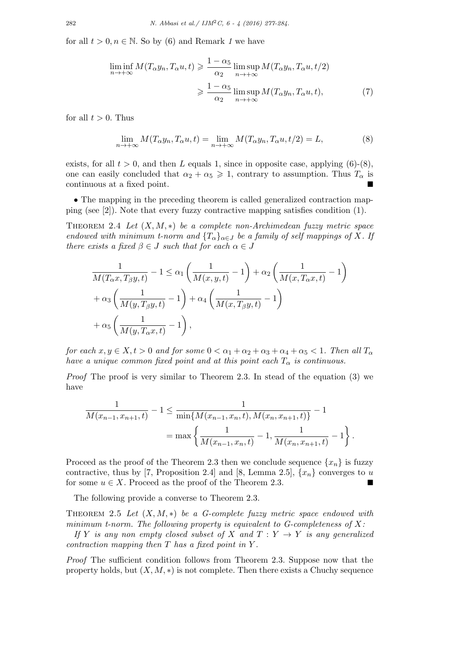for all  $t > 0, n \in \mathbb{N}$ . So by (6) and Remark 1 we have

$$
\liminf_{n \to +\infty} M(T_{\alpha}y_n, T_{\alpha}u, t) \geq \frac{1 - \alpha_5}{\alpha_2} \limsup_{n \to +\infty} M(T_{\alpha}y_n, T_{\alpha}u, t/2)
$$
\n
$$
\geq \frac{1 - \alpha_5}{\alpha_2} \limsup_{n \to +\infty} M(T_{\alpha}y_n, T_{\alpha}u, t), \tag{7}
$$

for all  $t > 0$ . Thus

$$
\lim_{n \to +\infty} M(T_{\alpha}y_n, T_{\alpha}u, t) = \lim_{n \to +\infty} M(T_{\alpha}y_n, T_{\alpha}u, t/2) = L,\tag{8}
$$

exists, for all  $t > 0$ , and then *L* equals 1, since in opposite case, applying  $(6)-(8)$ , one can easily concluded that  $\alpha_2 + \alpha_5 \geqslant 1$ , contrary to assumption. Thus  $T_\alpha$  is continuous at a fixed point.

• The mapping in the preceding theorem is called generalized contraction mapping (see [2]). Note that every fuzzy contractive mapping satisfies condition (1).

Theorem 2.4 *Let* (*X, M, ∗*) *be a complete non-Archimedean fuzzy metric space endowed with minimum t-norm and*  ${T_{\alpha}}_{\alpha \in J}$  *be a family of self mappings of X. If there exists a fixed*  $\beta \in J$  *such that for each*  $\alpha \in J$ 

$$
\frac{1}{M(T_{\alpha}x, T_{\beta}y, t)} - 1 \leq \alpha_1 \left( \frac{1}{M(x, y, t)} - 1 \right) + \alpha_2 \left( \frac{1}{M(x, T_{\alpha}x, t)} - 1 \right)
$$

$$
+ \alpha_3 \left( \frac{1}{M(y, T_{\beta}y, t)} - 1 \right) + \alpha_4 \left( \frac{1}{M(x, T_{\beta}y, t)} - 1 \right)
$$

$$
+ \alpha_5 \left( \frac{1}{M(y, T_{\alpha}x, t)} - 1 \right),
$$

*for each*  $x, y \in X, t > 0$  *and for some*  $0 < \alpha_1 + \alpha_2 + \alpha_3 + \alpha_4 + \alpha_5 < 1$ . Then all  $T_{\alpha}$ *have a unique common fixed point and at this point each*  $T_{\alpha}$  *is continuous.* 

*Proof* The proof is very similar to Theorem 2.3. In stead of the equation (3) we have

$$
\frac{1}{M(x_{n-1}, x_{n+1}, t)} - 1 \le \frac{1}{\min\{M(x_{n-1}, x_n, t), M(x_n, x_{n+1}, t)\}} - 1
$$

$$
= \max\left\{\frac{1}{M(x_{n-1}, x_n, t)} - 1, \frac{1}{M(x_n, x_{n+1}, t)} - 1\right\}.
$$

Proceed as the proof of the Theorem 2.3 then we conclude sequence  ${x_n}$  is fuzzy contractive, thus by [7, Proposition 2.4] and [8, Lemma 2.5],  $\{x_n\}$  converges to *u* for some  $u \in X$ . Proceed as the proof of the Theorem 2.3.

The following provide a converse to Theorem 2.3.

Theorem 2.5 *Let* (*X, M, ∗*) *be a G-complete fuzzy metric space endowed with minimum t-norm. The following property is equivalent to G-completeness of X:*

*If Y is any non empty closed subset of X and*  $T: Y \rightarrow Y$  *is any generalized contraction mapping then T has a fixed point in Y .*

*Proof* The sufficient condition follows from Theorem 2.3. Suppose now that the property holds, but  $(X, M, *)$  is not complete. Then there exists a Chuchy sequence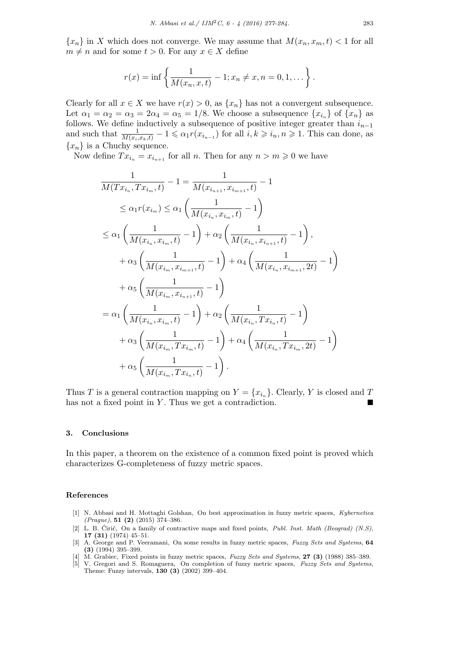${x_n}$  in *X* which does not converge. We may assume that  $M(x_n, x_m, t) < 1$  for all  $m \neq n$  and for some  $t > 0$ . For any  $x \in X$  define

$$
r(x) = \inf \left\{ \frac{1}{M(x_n, x, t)} - 1; x_n \neq x, n = 0, 1, ... \right\}.
$$

Clearly for all  $x \in X$  we have  $r(x) > 0$ , as  $\{x_n\}$  has not a convergent subsequence. Let  $\alpha_1 = \alpha_2 = \alpha_3 = 2\alpha_4 = \alpha_5 = 1/8$ . We choose a subsequence  $\{x_{i_n}\}$  of  $\{x_n\}$  as follows. We define inductively a subsequence of positive integer greater than  $i_{n-1}$ and such that  $\frac{1}{M(x_i,x_k,t)} - 1 \leq \alpha_1 r(x_{i_{n-1}})$  for all  $i, k \geq i_n, n \geq 1$ . This can done, as  ${x_n}$  is a Chuchy sequence.

Now define  $Tx_{i_n} = x_{i_{n+1}}$  for all *n*. Then for any  $n > m \geqslant 0$  we have

$$
\frac{1}{M(Tx_{i_n}, Tx_{i_m}, t)} - 1 = \frac{1}{M(x_{i_{n+1}}, x_{i_{m+1}}, t)} - 1
$$
\n
$$
\leq \alpha_1 r(x_{i_m}) \leq \alpha_1 \left( \frac{1}{M(x_{i_n}, x_{i_m}, t)} - 1 \right)
$$
\n
$$
\leq \alpha_1 \left( \frac{1}{M(x_{i_n}, x_{i_m}, t)} - 1 \right) + \alpha_2 \left( \frac{1}{M(x_{i_n}, x_{i_{n+1}}, t)} - 1 \right),
$$
\n
$$
+ \alpha_3 \left( \frac{1}{M(x_{i_m}, x_{i_{m+1}}, t)} - 1 \right) + \alpha_4 \left( \frac{1}{M(x_{i_n}, x_{i_{m+1}}, 2t)} - 1 \right)
$$
\n
$$
+ \alpha_5 \left( \frac{1}{M(x_{i_m}, x_{i_{n+1}}, t)} - 1 \right)
$$
\n
$$
= \alpha_1 \left( \frac{1}{M(x_{i_n}, x_{i_m}, t)} - 1 \right) + \alpha_2 \left( \frac{1}{M(x_{i_n}, Tx_{i_n}, t)} - 1 \right)
$$
\n
$$
+ \alpha_3 \left( \frac{1}{M(x_{i_m}, Tx_{i_m}, t)} - 1 \right) + \alpha_4 \left( \frac{1}{M(x_{i_n}, Tx_{i_m}, 2t)} - 1 \right)
$$
\n
$$
+ \alpha_5 \left( \frac{1}{M(x_{i_m}, Tx_{i_n}, t)} - 1 \right).
$$

Thus *T* is a general contraction mapping on  $Y = \{x_{i_n}\}\$ . Clearly, *Y* is closed and *T* has not a fixed point in  $Y$ . Thus we get a contradiction.

#### **3. Conclusions**

In this paper, a theorem on the existence of a common fixed point is proved which characterizes G-completeness of fuzzy metric spaces.

### **References**

- [1] N. Abbasi and H. Mottaghi Golshan, On best approximation in fuzzy metric spaces, *Kybernetica (Prague)*, **51 (2)** (2015) 374–386.
- [2] L. B. Ciric, On a family of contractive maps and fixed points, *Publ. Inst. Math (Beograd) (N.S)*, **17 (31)** (1974) 45–51.
- [3] A. George and P. Veeramani, On some results in fuzzy metric spaces, *Fuzzy Sets and Systems*, **64 (3)** (1994) 395–399.
- [4] M. Grabiec, Fixed points in fuzzy metric spaces, *Fuzzy Sets and Systems*, **27 (3)** (1988) 385–389.
- [5] V. Gregori and S. Romaguera, On completion of fuzzy metric spaces, *Fuzzy Sets and Systems*, Theme: Fuzzy intervals, **130 (3)** (2002) 399–404.